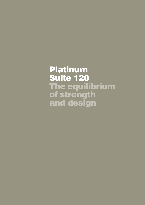Platinum Suite 120 The equilibrium of strength and design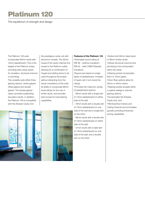## Platinum 120

The equilibrium of strength and design.

The Platinum 120 suite incorporates 92mm studs with 13mm plasterboard. This is the largest of the Platinum suites, providing extra cavity space for insulation, structural columns or plumbing.

This versatile suite offers three glazing options; centre glazed, offset glazed and double glazed. The double glazed option provides outstanding acoustics results. In addition, the Platinum 120 is compatible with the Artesian Cavity Unit –

the prestigious cavity unit with aluminium reveals. The 35mm reveal of the cavity matches the reveal on the Platinum suites, allowing for a combination of hinged and sliding doors to be used throughout the project, without detracting from the visual consistency of the suite. Its ability to incorporate 90mm studs allows for the use of timber studs, and provides extra scope for load bearing capabilities.

## **Features of the Platinum 120**

•Estimated sound rating of: RW 36 – (without insulation) RW 42 – (with CAB4 Polyester Insulation).

(Figures are based on single layers of plasterboard; increase of layers will in turn boost the rating);

•Provides the maximum variety of plasterboard options;

– 92mm studs with a single skin of 13mm plasterboard on either side of the wall;

– 76mm studs with a double skin of 13mm plasterboard on one

side of the wall and a single skin on the other;

– 64mm studs with a double skin of 13mm plasterboard on either side of the wall;

– 51mm studs with a triple skin of 13mm plasterboard on one side of the wall, and a double skin on the other;

•Suites both 92mm steel studs or 90mm timber studs;

•Allows structural columns and plumbing to be incorporated within the cavity;

•Glazing pocket incorporates 6mm to 10mm glass;

•Door Stop options allow for 35mm or 44mm doors;

•Glazing pocket accepts either a captive wedge or silicone

glazing options; •Incorporates the Artesian

Cavity Unit; and

•Window/Door frames and

Ceiling Channel accommodates gussets providing enhanced joining capabilities.

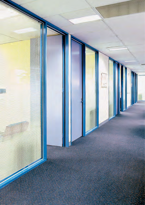